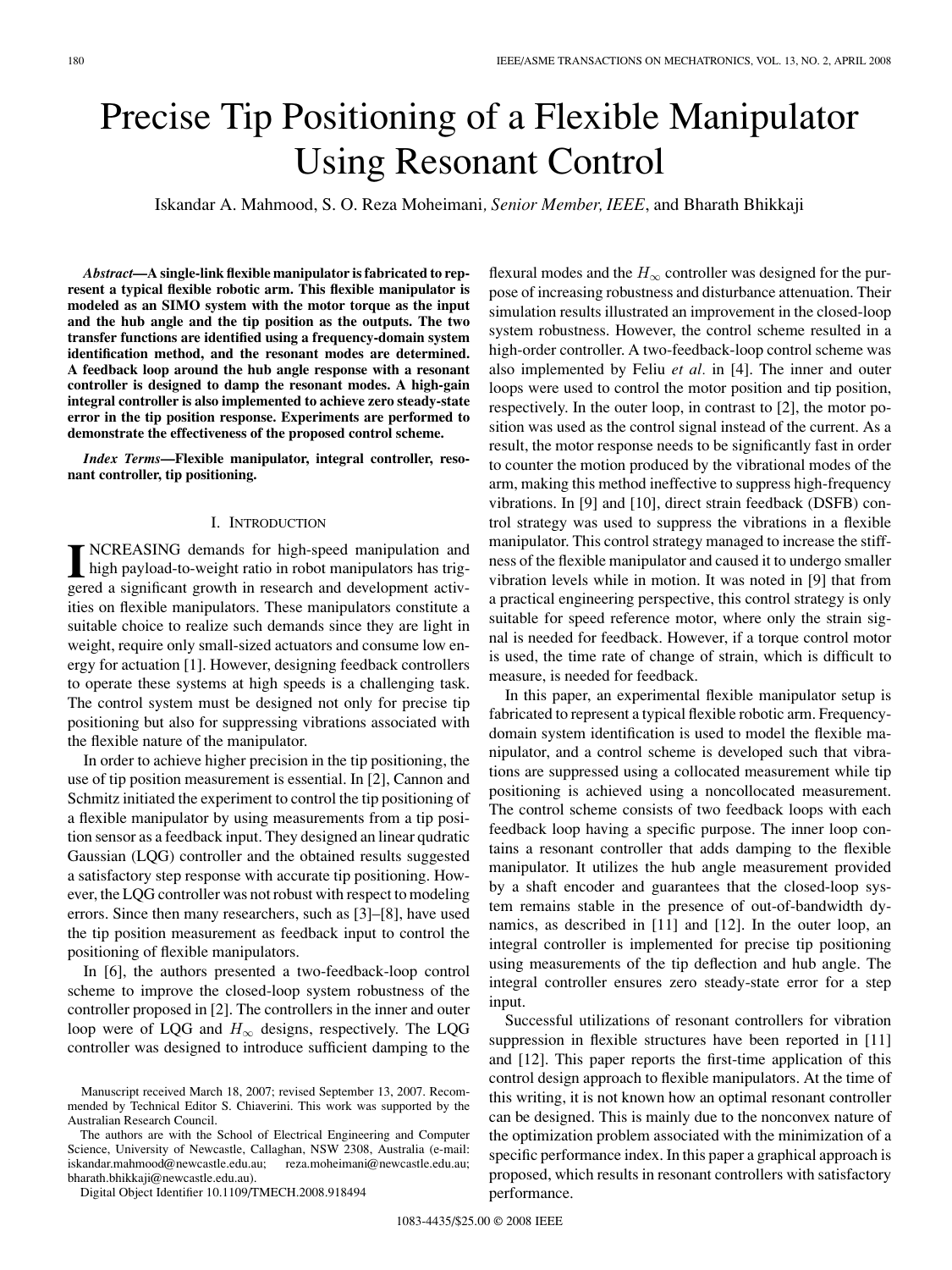# Precise Tip Positioning of a Flexible Manipulator Using Resonant Control

Iskandar A. Mahmood, S. O. Reza Moheimani*, Senior Member, IEEE*, and Bharath Bhikkaji

*Abstract***—A single-link flexible manipulator is fabricated to represent a typical flexible robotic arm. This flexible manipulator is modeled as an SIMO system with the motor torque as the input and the hub angle and the tip position as the outputs. The two transfer functions are identified using a frequency-domain system identification method, and the resonant modes are determined. A feedback loop around the hub angle response with a resonant controller is designed to damp the resonant modes. A high-gain integral controller is also implemented to achieve zero steady-state error in the tip position response. Experiments are performed to demonstrate the effectiveness of the proposed control scheme.**

*Index Terms***—Flexible manipulator, integral controller, resonant controller, tip positioning.**

# I. INTRODUCTION

INCREASING demands for high-speed manipulation and<br>high payload-to-weight ratio in robot manipulators has trig-<br>gered a significant growth in research and development active NCREASING demands for high-speed manipulation and gered a significant growth in research and development activities on flexible manipulators. These manipulators constitute a suitable choice to realize such demands since they are light in weight, require only small-sized actuators and consume low energy for actuation [1]. However, designing feedback controllers to operate these systems at high speeds is a challenging task. The control system must be designed not only for precise tip positioning but also for suppressing vibrations associated with the flexible nature of the manipulator.

In order to achieve higher precision in the tip positioning, the use of tip position measurement is essential. In [2], Cannon and Schmitz initiated the experiment to control the tip positioning of a flexible manipulator by using measurements from a tip position sensor as a feedback input. They designed an linear qudratic Gaussian (LQG) controller and the obtained results suggested a satisfactory step response with accurate tip positioning. However, the LQG controller was not robust with respect to modeling errors. Since then many researchers, such as [3]–[8], have used the tip position measurement as feedback input to control the positioning of flexible manipulators.

In [6], the authors presented a two-feedback-loop control scheme to improve the closed-loop system robustness of the controller proposed in [2]. The controllers in the inner and outer loop were of LQG and  $H_{\infty}$  designs, respectively. The LQG controller was designed to introduce sufficient damping to the

Digital Object Identifier 10.1109/TMECH.2008.918494

flexural modes and the  $H_{\infty}$  controller was designed for the purpose of increasing robustness and disturbance attenuation. Their simulation results illustrated an improvement in the closed-loop system robustness. However, the control scheme resulted in a high-order controller. A two-feedback-loop control scheme was also implemented by Feliu *et al.* in [4]. The inner and outer loops were used to control the motor position and tip position, respectively. In the outer loop, in contrast to [2], the motor position was used as the control signal instead of the current. As a result, the motor response needs to be significantly fast in order to counter the motion produced by the vibrational modes of the arm, making this method ineffective to suppress high-frequency vibrations. In [9] and [10], direct strain feedback (DSFB) control strategy was used to suppress the vibrations in a flexible manipulator. This control strategy managed to increase the stiffness of the flexible manipulator and caused it to undergo smaller vibration levels while in motion. It was noted in [9] that from a practical engineering perspective, this control strategy is only suitable for speed reference motor, where only the strain signal is needed for feedback. However, if a torque control motor is used, the time rate of change of strain, which is difficult to measure, is needed for feedback.

In this paper, an experimental flexible manipulator setup is fabricated to represent a typical flexible robotic arm. Frequencydomain system identification is used to model the flexible manipulator, and a control scheme is developed such that vibrations are suppressed using a collocated measurement while tip positioning is achieved using a noncollocated measurement. The control scheme consists of two feedback loops with each feedback loop having a specific purpose. The inner loop contains a resonant controller that adds damping to the flexible manipulator. It utilizes the hub angle measurement provided by a shaft encoder and guarantees that the closed-loop system remains stable in the presence of out-of-bandwidth dynamics, as described in [11] and [12]. In the outer loop, an integral controller is implemented for precise tip positioning using measurements of the tip deflection and hub angle. The integral controller ensures zero steady-state error for a step input.

Successful utilizations of resonant controllers for vibration suppression in flexible structures have been reported in [11] and [12]. This paper reports the first-time application of this control design approach to flexible manipulators. At the time of this writing, it is not known how an optimal resonant controller can be designed. This is mainly due to the nonconvex nature of the optimization problem associated with the minimization of a specific performance index. In this paper a graphical approach is proposed, which results in resonant controllers with satisfactory performance.

Manuscript received March 18, 2007; revised September 13, 2007. Recommended by Technical Editor S. Chiaverini. This work was supported by the Australian Research Council.

The authors are with the School of Electrical Engineering and Computer Science, University of Newcastle, Callaghan, NSW 2308, Australia (e-mail: iskandar.mahmood@newcastle.edu.au; reza.moheimani@newcastle.edu.au; bharath.bhikkaji@newcastle.edu.au).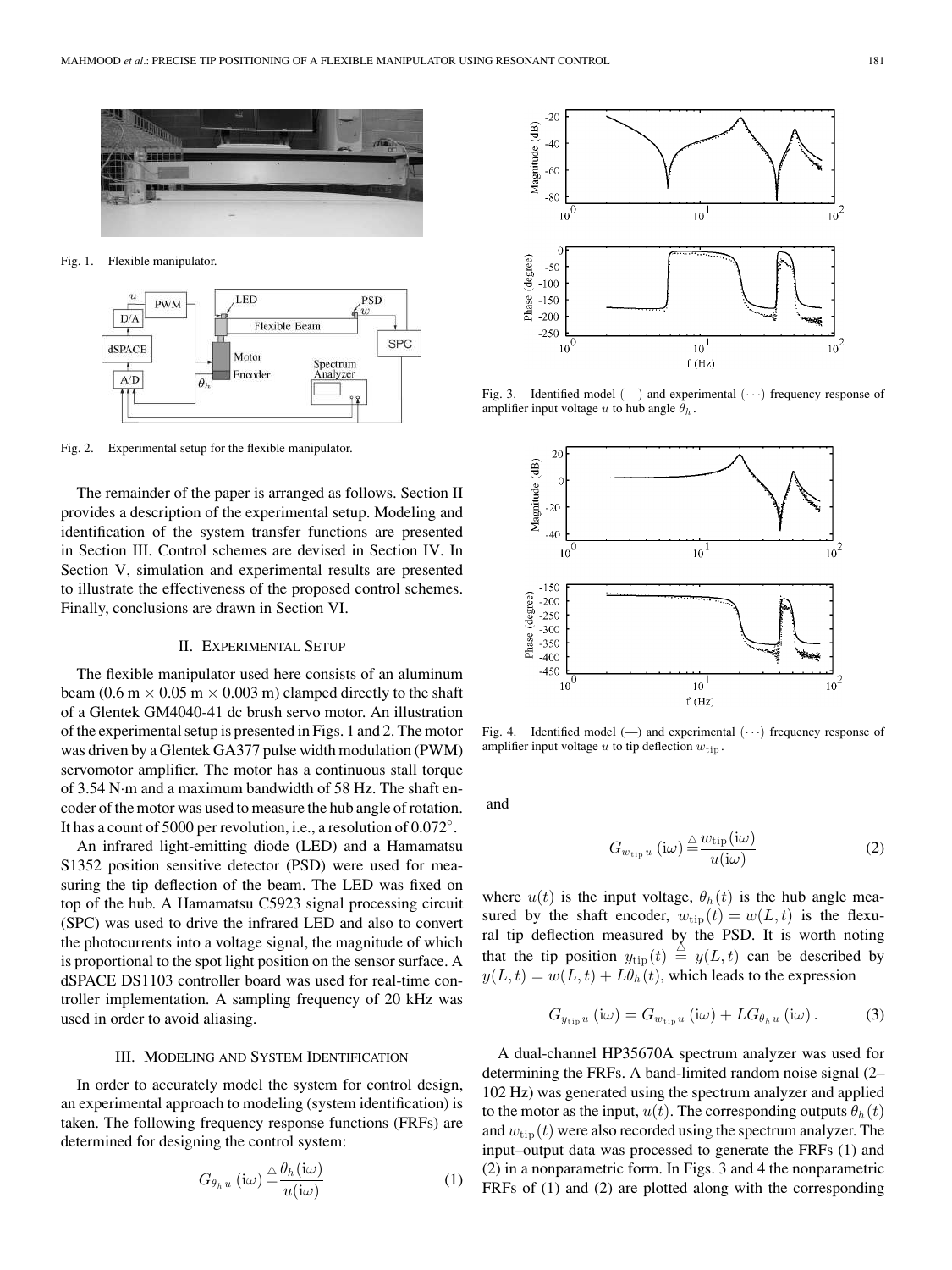

Fig. 1. Flexible manipulator.



Fig. 2. Experimental setup for the flexible manipulator.

The remainder of the paper is arranged as follows. Section II provides a description of the experimental setup. Modeling and identification of the system transfer functions are presented in Section III. Control schemes are devised in Section IV. In Section V, simulation and experimental results are presented to illustrate the effectiveness of the proposed control schemes. Finally, conclusions are drawn in Section VI.

#### II. EXPERIMENTAL SETUP

The flexible manipulator used here consists of an aluminum beam (0.6 m  $\times$  0.05 m  $\times$  0.003 m) clamped directly to the shaft of a Glentek GM4040-41 dc brush servo motor. An illustration of the experimental setup is presented in Figs. 1 and 2. The motor was driven by a Glentek GA377 pulse width modulation (PWM) servomotor amplifier. The motor has a continuous stall torque of 3.54 N·m and a maximum bandwidth of 58 Hz. The shaft encoder of the motor was used to measure the hub angle of rotation. It has a count of 5000 per revolution, i.e., a resolution of  $0.072^\circ$ .

An infrared light-emitting diode (LED) and a Hamamatsu S1352 position sensitive detector (PSD) were used for measuring the tip deflection of the beam. The LED was fixed on top of the hub. A Hamamatsu C5923 signal processing circuit (SPC) was used to drive the infrared LED and also to convert the photocurrents into a voltage signal, the magnitude of which is proportional to the spot light position on the sensor surface. A dSPACE DS1103 controller board was used for real-time controller implementation. A sampling frequency of 20 kHz was used in order to avoid aliasing.

## III. MODELING AND SYSTEM IDENTIFICATION

In order to accurately model the system for control design, an experimental approach to modeling (system identification) is taken. The following frequency response functions (FRFs) are determined for designing the control system:

$$
G_{\theta_h u} (\mathbf{i}\omega) \stackrel{\triangle}{=} \frac{\theta_h (\mathbf{i}\omega)}{u(\mathbf{i}\omega)} \tag{1}
$$



Fig. 3. Identified model  $(-)$  and experimental  $(\cdots)$  frequency response of amplifier input voltage u to hub angle  $\theta_h$ .



Fig. 4. Identified model  $(-)$  and experimental  $(\cdots)$  frequency response of amplifier input voltage  $u$  to tip deflection  $w_{\text{tip}}$ .

and

$$
G_{w_{\text{tip}}}u\left(\text{i}\omega\right) \stackrel{\triangle}{=} \frac{w_{\text{tip}}\left(\text{i}\omega\right)}{u\left(\text{i}\omega\right)}\tag{2}
$$

where  $u(t)$  is the input voltage,  $\theta_h(t)$  is the hub angle measured by the shaft encoder,  $w_{\text{tip}}(t) = w(L, t)$  is the flexural tip deflection measured by the PSD. It is worth noting that the tip position  $y_{\text{tip}}(t) \stackrel{\Delta}{=} y(L,t)$  can be described by  $y(L, t) = w(L, t) + L\theta_h(t)$ , which leads to the expression

$$
G_{y_{\text{tip}}}u\left(\text{i}\omega\right) = G_{w_{\text{tip}}}u\left(\text{i}\omega\right) + LG_{\theta_h u}\left(\text{i}\omega\right). \tag{3}
$$

A dual-channel HP35670A spectrum analyzer was used for determining the FRFs. A band-limited random noise signal (2– 102 Hz) was generated using the spectrum analyzer and applied to the motor as the input,  $u(t)$ . The corresponding outputs  $\theta_h(t)$ and  $w_{\text{tin}}(t)$  were also recorded using the spectrum analyzer. The input–output data was processed to generate the FRFs (1) and (2) in a nonparametric form. In Figs. 3 and 4 the nonparametric FRFs of (1) and (2) are plotted along with the corresponding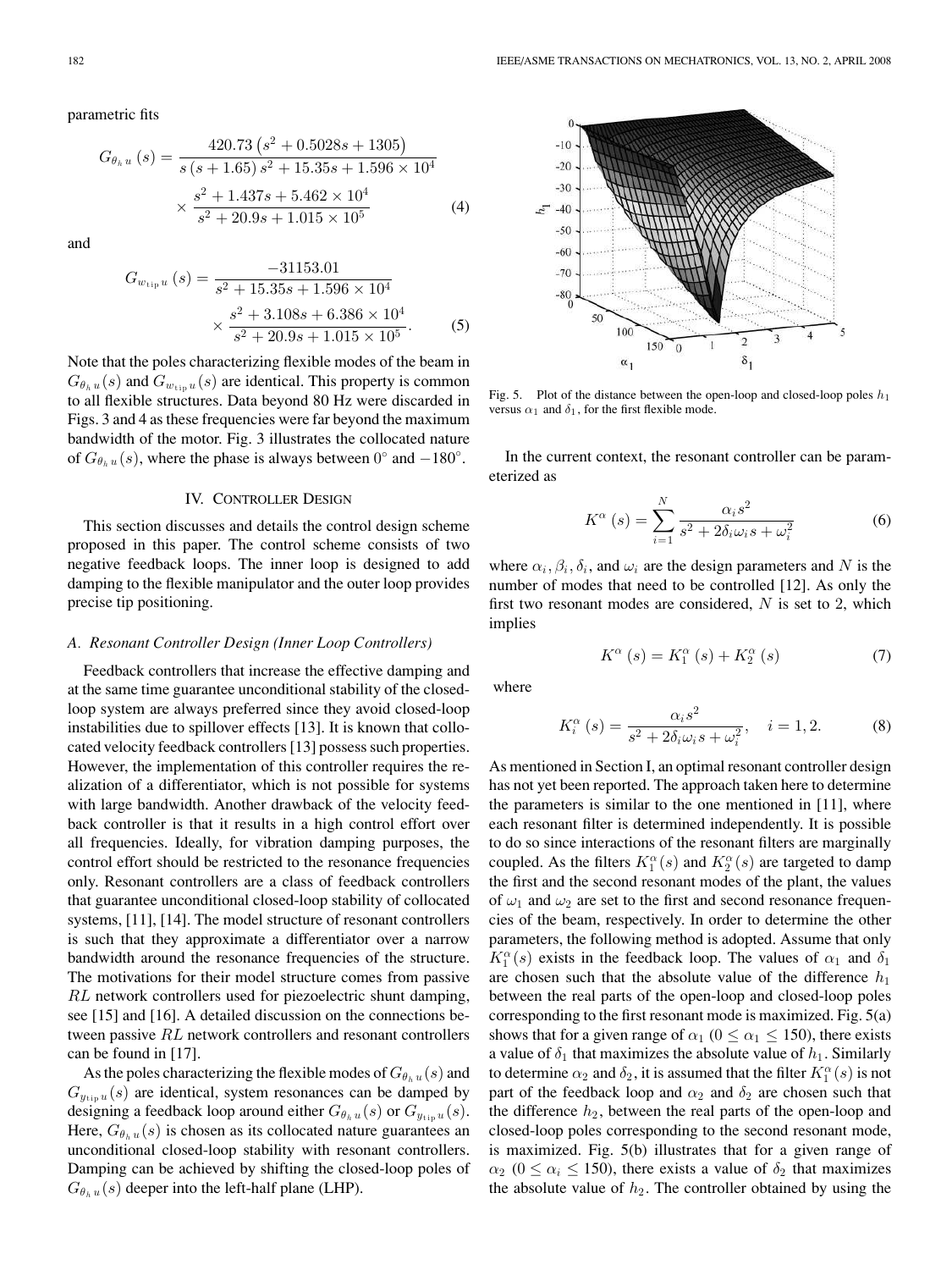$$
G_{\theta_h u} (s) = \frac{420.73 (s^2 + 0.5028s + 1305)}{s (s + 1.65) s^2 + 15.35s + 1.596 \times 10^4}
$$

$$
\times \frac{s^2 + 1.437s + 5.462 \times 10^4}{s^2 + 20.9s + 1.015 \times 10^5}
$$
(4)

and

$$
G_{w_{\text{tip}}} (s) = \frac{-31153.01}{s^2 + 15.35s + 1.596 \times 10^4}
$$

$$
\times \frac{s^2 + 3.108s + 6.386 \times 10^4}{s^2 + 20.9s + 1.015 \times 10^5}.
$$
 (5)

Note that the poles characterizing flexible modes of the beam in  $G_{\theta_h u}(s)$  and  $G_{w_{\text{tip}} u}(s)$  are identical. This property is common to all flexible structures. Data beyond 80 Hz were discarded in Figs. 3 and 4 as these frequencies were far beyond the maximum bandwidth of the motor. Fig. 3 illustrates the collocated nature of  $G_{\theta_h u}(s)$ , where the phase is always between 0° and  $-180^\circ$ .

#### IV. CONTROLLER DESIGN

This section discusses and details the control design scheme proposed in this paper. The control scheme consists of two negative feedback loops. The inner loop is designed to add damping to the flexible manipulator and the outer loop provides precise tip positioning.

# *A. Resonant Controller Design (Inner Loop Controllers)*

Feedback controllers that increase the effective damping and at the same time guarantee unconditional stability of the closedloop system are always preferred since they avoid closed-loop instabilities due to spillover effects [13]. It is known that collocated velocity feedback controllers [13] possess such properties. However, the implementation of this controller requires the realization of a differentiator, which is not possible for systems with large bandwidth. Another drawback of the velocity feedback controller is that it results in a high control effort over all frequencies. Ideally, for vibration damping purposes, the control effort should be restricted to the resonance frequencies only. Resonant controllers are a class of feedback controllers that guarantee unconditional closed-loop stability of collocated systems, [11], [14]. The model structure of resonant controllers is such that they approximate a differentiator over a narrow bandwidth around the resonance frequencies of the structure. The motivations for their model structure comes from passive RL network controllers used for piezoelectric shunt damping, see [15] and [16]. A detailed discussion on the connections between passive RL network controllers and resonant controllers can be found in [17].

As the poles characterizing the flexible modes of  $G_{\theta_h u}(s)$  and  $G_{y_{\text{tip}}}u(s)$  are identical, system resonances can be damped by designing a feedback loop around either  $G_{\theta_h u}(s)$  or  $G_{y_{\text{tip}} u}(s)$ . Here,  $G_{\theta_h u}(s)$  is chosen as its collocated nature guarantees an unconditional closed-loop stability with resonant controllers. Damping can be achieved by shifting the closed-loop poles of  $G_{\theta_h u}(s)$  deeper into the left-half plane (LHP).



Fig. 5. Plot of the distance between the open-loop and closed-loop poles  $h_1$ versus  $\alpha_1$  and  $\delta_1$ , for the first flexible mode.

In the current context, the resonant controller can be parameterized as

$$
K^{\alpha}(s) = \sum_{i=1}^{N} \frac{\alpha_i s^2}{s^2 + 2\delta_i \omega_i s + \omega_i^2}
$$
 (6)

where  $\alpha_i, \beta_i, \delta_i$ , and  $\omega_i$  are the design parameters and N is the number of modes that need to be controlled [12]. As only the first two resonant modes are considered,  $N$  is set to 2, which implies

$$
K^{\alpha}\left(s\right) = K_1^{\alpha}\left(s\right) + K_2^{\alpha}\left(s\right) \tag{7}
$$

where

$$
K_i^{\alpha}(s) = \frac{\alpha_i s^2}{s^2 + 2\delta_i \omega_i s + \omega_i^2}, \quad i = 1, 2.
$$
 (8)

As mentioned in Section I, an optimal resonant controller design has not yet been reported. The approach taken here to determine the parameters is similar to the one mentioned in [11], where each resonant filter is determined independently. It is possible to do so since interactions of the resonant filters are marginally coupled. As the filters  $K_1^{\alpha}(s)$  and  $K_2^{\alpha}(s)$  are targeted to damp the first and the second resonant modes of the plant, the values of  $\omega_1$  and  $\omega_2$  are set to the first and second resonance frequencies of the beam, respectively. In order to determine the other parameters, the following method is adopted. Assume that only  $K_1^{\alpha}(s)$  exists in the feedback loop. The values of  $\alpha_1$  and  $\delta_1$ are chosen such that the absolute value of the difference  $h_1$ between the real parts of the open-loop and closed-loop poles corresponding to the first resonant mode is maximized. Fig. 5(a) shows that for a given range of  $\alpha_1$  ( $0 \leq \alpha_1 \leq 150$ ), there exists a value of  $\delta_1$  that maximizes the absolute value of  $h_1$ . Similarly to determine  $\alpha_2$  and  $\delta_2$ , it is assumed that the filter  $K_1^{\alpha}(s)$  is not part of the feedback loop and  $\alpha_2$  and  $\delta_2$  are chosen such that the difference  $h_2$ , between the real parts of the open-loop and closed-loop poles corresponding to the second resonant mode, is maximized. Fig. 5(b) illustrates that for a given range of  $\alpha_2$  ( $0 \le \alpha_i \le 150$ ), there exists a value of  $\delta_2$  that maximizes the absolute value of  $h_2$ . The controller obtained by using the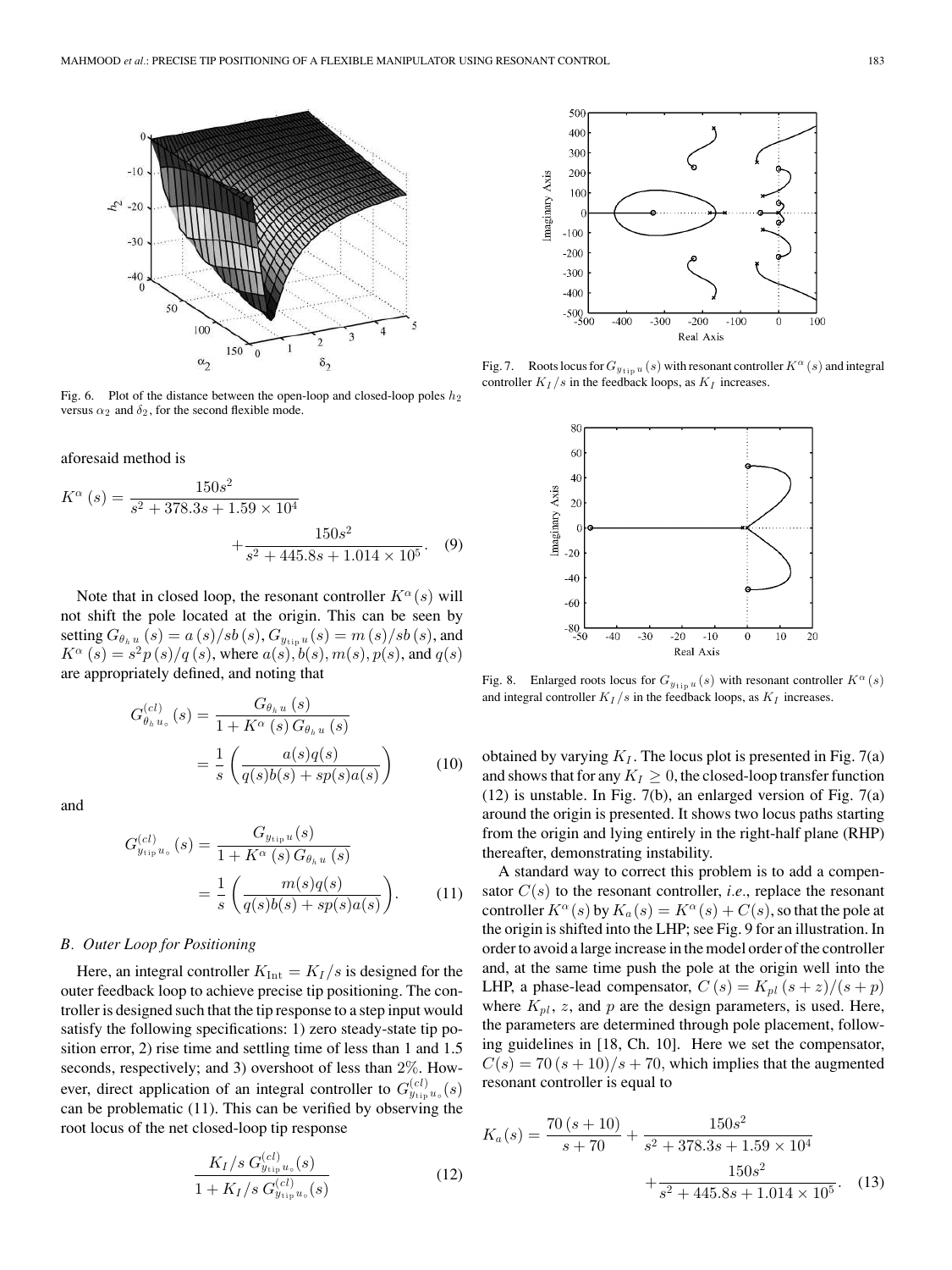

Fig. 6. Plot of the distance between the open-loop and closed-loop poles  $h_2$ versus  $\alpha_2$  and  $\delta_2$ , for the second flexible mode.

aforesaid method is

$$
K^{\alpha}(s) = \frac{150s^2}{s^2 + 378.3s + 1.59 \times 10^4} + \frac{150s^2}{s^2 + 445.8s + 1.014 \times 10^5}.
$$
 (9)

Note that in closed loop, the resonant controller  $K^{\alpha}(s)$  will not shift the pole located at the origin. This can be seen by setting  $G_{\theta_h u} (s) = a(s)/s b(s), G_{y_{\text{tip}} u} (s) = m(s)/s b(s)$ , and  $K^{\alpha}(s) = s^2 p(s)/q(s)$ , where  $a(s), b(s), m(s), p(s)$ , and  $q(s)$ are appropriately defined, and noting that

$$
G_{\theta_h u_s}^{(cl)}(s) = \frac{G_{\theta_h u}(s)}{1 + K^{\alpha}(s) G_{\theta_h u}(s)}
$$
  
= 
$$
\frac{1}{s} \left( \frac{a(s)q(s)}{q(s)b(s) + sp(s)a(s)} \right)
$$
 (10)

and

$$
G_{y_{\text{tip}}}^{(cl)}(s) = \frac{G_{y_{\text{tip}}}u(s)}{1 + K^{\alpha}(s) G_{\theta_h u}(s)}
$$
  
= 
$$
\frac{1}{s} \left( \frac{m(s)q(s)}{q(s)b(s) + sp(s)a(s)} \right).
$$
 (11)

#### *B. Outer Loop for Positioning*

Here, an integral controller  $K_{\text{Int}} = K_I / s$  is designed for the outer feedback loop to achieve precise tip positioning. The controller is designed such that the tip response to a step input would satisfy the following specifications: 1) zero steady-state tip position error, 2) rise time and settling time of less than 1 and 1.5 seconds, respectively; and 3) overshoot of less than 2%. However, direct application of an integral controller to  $G_{y_{\text{tip}}}^{(cl)}(s)$ can be problematic (11). This can be verified by observing the root locus of the net closed-loop tip response

$$
\frac{K_I/s \ G_{y_{\rm tip}u_s}(s)}{1 + K_I/s \ G_{y_{\rm tip}u_s}(s)} \tag{12}
$$



Fig. 7. Roots locus for  $G_{y_{\text{tip}}} u(s)$  with resonant controller  $K^{\alpha}(s)$  and integral controller  $K_I/s$  in the feedback loops, as  $K_I$  increases.



Fig. 8. Enlarged roots locus for  $G_{y_{\text{tip}}} u(s)$  with resonant controller  $K^{\alpha}(s)$ and integral controller  $K_I/s$  in the feedback loops, as  $K_I$  increases.

obtained by varying  $K_I$ . The locus plot is presented in Fig. 7(a) and shows that for any  $K_I \geq 0$ , the closed-loop transfer function  $(12)$  is unstable. In Fig. 7(b), an enlarged version of Fig. 7(a) around the origin is presented. It shows two locus paths starting from the origin and lying entirely in the right-half plane (RHP) thereafter, demonstrating instability.

A standard way to correct this problem is to add a compensator  $C(s)$  to the resonant controller, *i.e.*, replace the resonant controller  $K^{\alpha}(s)$  by  $K_a(s) = K^{\alpha}(s) + C(s)$ , so that the pole at the origin is shifted into the LHP; see Fig. 9 for an illustration. In order to avoid a large increase in the model order of the controller and, at the same time push the pole at the origin well into the LHP, a phase-lead compensator,  $C(s) = K_{pl}(s + z)/(s + p)$ where  $K_{pl}$ , z, and p are the design parameters, is used. Here, the parameters are determined through pole placement, following guidelines in [18, Ch. 10]. Here we set the compensator,  $C(s) = 70(s + 10)/s + 70$ , which implies that the augmented resonant controller is equal to

$$
K_a(s) = \frac{70(s+10)}{s+70} + \frac{150s^2}{s^2 + 378.3s + 1.59 \times 10^4} + \frac{150s^2}{s^2 + 445.8s + 1.014 \times 10^5}.
$$
 (13)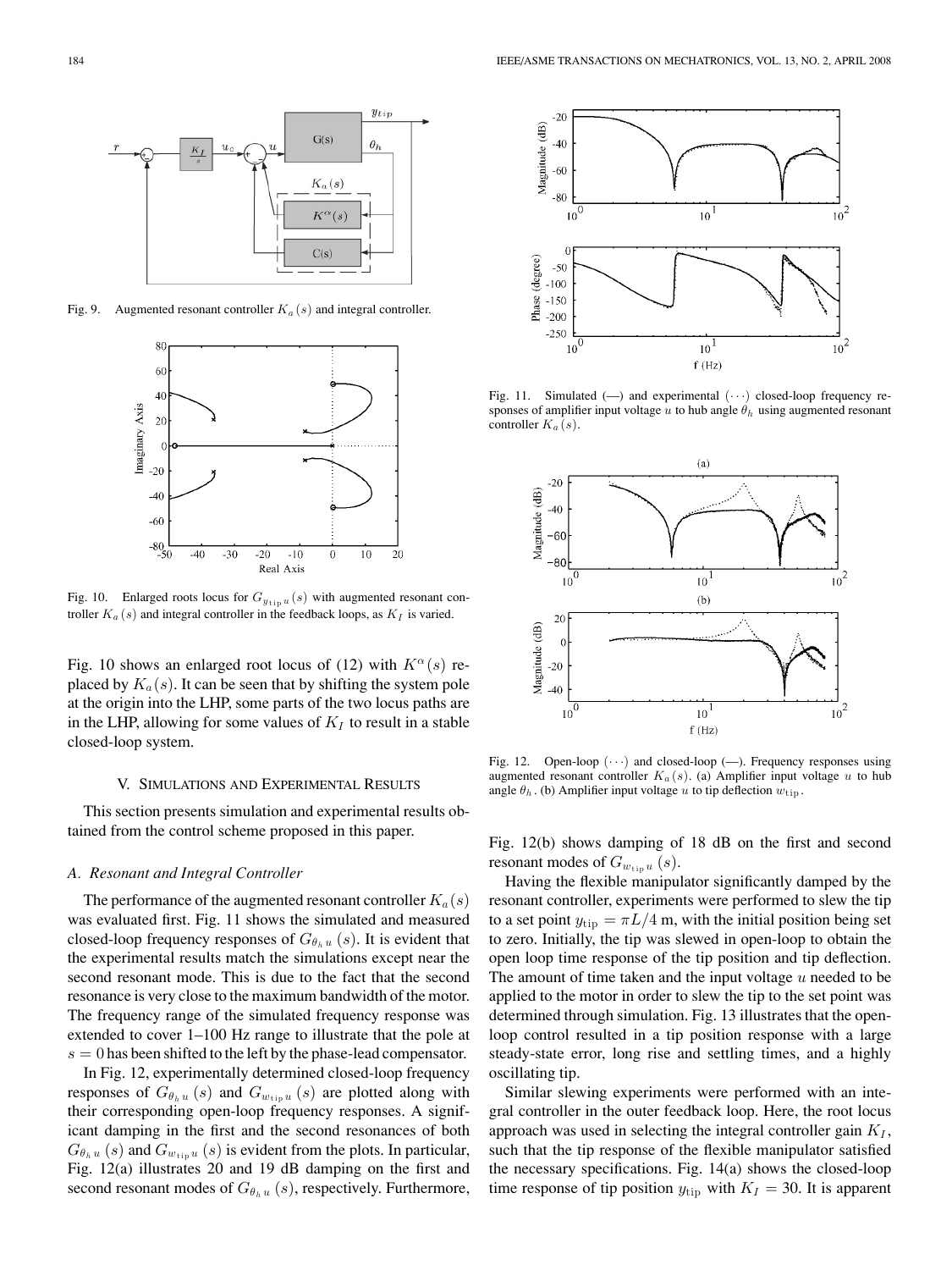

Fig. 9. Augmented resonant controller  $K_a(s)$  and integral controller.



Fig. 10. Enlarged roots locus for  $G_{y_{\text{tip}}}u(s)$  with augmented resonant controller  $K_a(s)$  and integral controller in the feedback loops, as  $K_I$  is varied.

Fig. 10 shows an enlarged root locus of (12) with  $K^{\alpha}(s)$  replaced by  $K_a(s)$ . It can be seen that by shifting the system pole at the origin into the LHP, some parts of the two locus paths are in the LHP, allowing for some values of  $K_I$  to result in a stable closed-loop system.

# V. SIMULATIONS AND EXPERIMENTAL RESULTS

This section presents simulation and experimental results obtained from the control scheme proposed in this paper.

#### *A. Resonant and Integral Controller*

The performance of the augmented resonant controller  $K_a(s)$ was evaluated first. Fig. 11 shows the simulated and measured closed-loop frequency responses of  $G_{\theta_h u}(s)$ . It is evident that the experimental results match the simulations except near the second resonant mode. This is due to the fact that the second resonance is very close to the maximum bandwidth of the motor. The frequency range of the simulated frequency response was extended to cover 1–100 Hz range to illustrate that the pole at  $s = 0$  has been shifted to the left by the phase-lead compensator.

In Fig. 12, experimentally determined closed-loop frequency responses of  $G_{\theta_h u}$  (s) and  $G_{w_{\text{tip}} u}$  (s) are plotted along with their corresponding open-loop frequency responses. A significant damping in the first and the second resonances of both  $G_{\theta_h u}$  (s) and  $G_{w_{\text{tip}} u}$  (s) is evident from the plots. In particular, Fig. 12(a) illustrates 20 and 19 dB damping on the first and second resonant modes of  $G_{\theta_h u}$  (s), respectively. Furthermore,



Fig. 11. Simulated  $(-)$  and experimental  $(\cdots)$  closed-loop frequency responses of amplifier input voltage u to hub angle  $\theta_h$  using augmented resonant controller  $K_a(s)$ .



Fig. 12. Open-loop  $(\cdots)$  and closed-loop  $(\cdots)$ . Frequency responses using augmented resonant controller  $K_a(s)$ . (a) Amplifier input voltage u to hub angle  $\theta_h$ . (b) Amplifier input voltage u to tip deflection  $w_{\text{tip}}$ .

Fig. 12(b) shows damping of 18 dB on the first and second resonant modes of  $G_{w_{\text{tip}}}$   $(u)$ .

Having the flexible manipulator significantly damped by the resonant controller, experiments were performed to slew the tip to a set point  $y_{\text{tip}} = \pi L/4$  m, with the initial position being set to zero. Initially, the tip was slewed in open-loop to obtain the open loop time response of the tip position and tip deflection. The amount of time taken and the input voltage  $u$  needed to be applied to the motor in order to slew the tip to the set point was determined through simulation. Fig. 13 illustrates that the openloop control resulted in a tip position response with a large steady-state error, long rise and settling times, and a highly oscillating tip.

Similar slewing experiments were performed with an integral controller in the outer feedback loop. Here, the root locus approach was used in selecting the integral controller gain  $K_I$ , such that the tip response of the flexible manipulator satisfied the necessary specifications. Fig. 14(a) shows the closed-loop time response of tip position  $y_{\text{tip}}$  with  $K_I = 30$ . It is apparent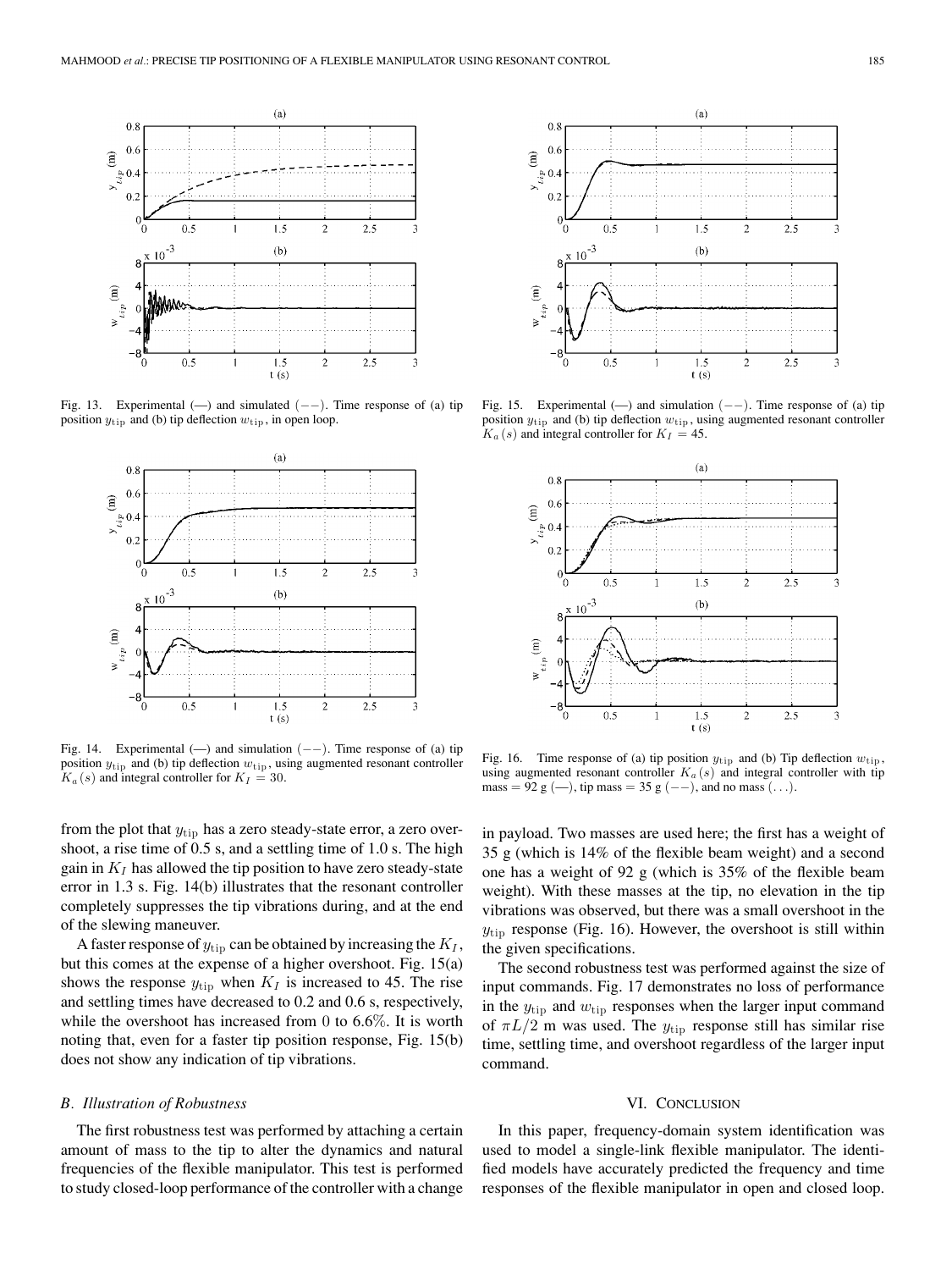

Fig. 13. Experimental  $(-)$  and simulated  $(--)$ . Time response of (a) tip position  $y_{\text{tip}}$  and (b) tip deflection  $w_{\text{tip}}$ , in open loop.



Fig. 14. Experimental (—) and simulation  $(-)$ . Time response of (a) tip position  $y_{\text{tip}}$  and (b) tip deflection  $w_{\text{tip}}$ , using augmented resonant controller  $K_a(s)$  and integral controller for  $K_I = 30$ .

from the plot that  $y_{\text{tip}}$  has a zero steady-state error, a zero overshoot, a rise time of 0.5 s, and a settling time of 1.0 s. The high gain in  $K_I$  has allowed the tip position to have zero steady-state error in 1.3 s. Fig. 14(b) illustrates that the resonant controller completely suppresses the tip vibrations during, and at the end of the slewing maneuver.

A faster response of  $y_{\text{tip}}$  can be obtained by increasing the  $K_I$ , but this comes at the expense of a higher overshoot. Fig. 15(a) shows the response  $y_{\text{tip}}$  when  $K_I$  is increased to 45. The rise and settling times have decreased to 0.2 and 0.6 s, respectively, while the overshoot has increased from 0 to 6.6%. It is worth noting that, even for a faster tip position response, Fig. 15(b) does not show any indication of tip vibrations.

#### *B. Illustration of Robustness*

The first robustness test was performed by attaching a certain amount of mass to the tip to alter the dynamics and natural frequencies of the flexible manipulator. This test is performed to study closed-loop performance of the controller with a change



Fig. 15. Experimental ( $\rightarrow$ ) and simulation ( $\rightarrow$ ). Time response of (a) tip position  $y_{\text{tip}}$  and (b) tip deflection  $w_{\text{tip}}$ , using augmented resonant controller  $K_a(s)$  and integral controller for  $K_I = 45$ .



Fig. 16. Time response of (a) tip position  $y_{\text{tip}}$  and (b) Tip deflection  $w_{\text{tip}}$ , using augmented resonant controller  $K_a(s)$  and integral controller with tip mass = 92 g (--), tip mass = 35 g (--), and no mass  $(\ldots)$ .

in payload. Two masses are used here; the first has a weight of 35 g (which is 14% of the flexible beam weight) and a second one has a weight of 92 g (which is 35% of the flexible beam weight). With these masses at the tip, no elevation in the tip vibrations was observed, but there was a small overshoot in the  $y_{\text{tip}}$  response (Fig. 16). However, the overshoot is still within the given specifications.

The second robustness test was performed against the size of input commands. Fig. 17 demonstrates no loss of performance in the  $y_{\text{tip}}$  and  $w_{\text{tip}}$  responses when the larger input command of  $\pi L/2$  m was used. The  $y_{\text{tip}}$  response still has similar rise time, settling time, and overshoot regardless of the larger input command.

#### VI. CONCLUSION

In this paper, frequency-domain system identification was used to model a single-link flexible manipulator. The identified models have accurately predicted the frequency and time responses of the flexible manipulator in open and closed loop.